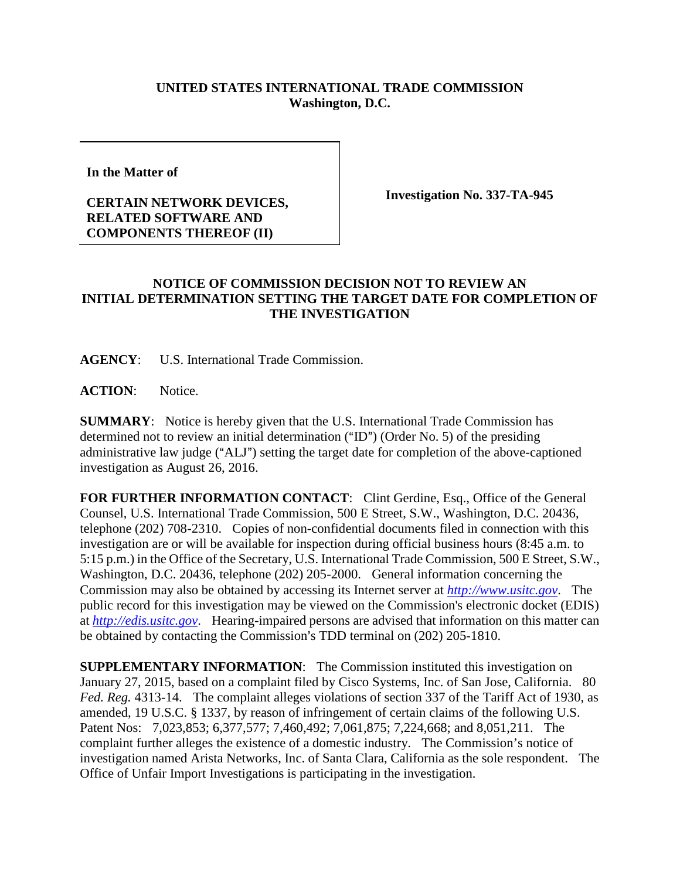## **UNITED STATES INTERNATIONAL TRADE COMMISSION Washington, D.C.**

**In the Matter of** 

## **CERTAIN NETWORK DEVICES, RELATED SOFTWARE AND COMPONENTS THEREOF (II)**

**Investigation No. 337-TA-945**

## **NOTICE OF COMMISSION DECISION NOT TO REVIEW AN INITIAL DETERMINATION SETTING THE TARGET DATE FOR COMPLETION OF THE INVESTIGATION**

**AGENCY**: U.S. International Trade Commission.

ACTION: Notice.

**SUMMARY**: Notice is hereby given that the U.S. International Trade Commission has determined not to review an initial determination  $("ID")$  (Order No. 5) of the presiding administrative law judge ("ALJ") setting the target date for completion of the above-captioned investigation as August 26, 2016.

FOR FURTHER INFORMATION CONTACT: Clint Gerdine, Esq., Office of the General Counsel, U.S. International Trade Commission, 500 E Street, S.W., Washington, D.C. 20436, telephone (202) 708-2310. Copies of non-confidential documents filed in connection with this investigation are or will be available for inspection during official business hours (8:45 a.m. to 5:15 p.m.) in the Office of the Secretary, U.S. International Trade Commission, 500 E Street, S.W., Washington, D.C. 20436, telephone (202) 205-2000. General information concerning the Commission may also be obtained by accessing its Internet server at *[http://www.usitc.gov](http://www.usitc.gov/)*. The public record for this investigation may be viewed on the Commission's electronic docket (EDIS) at *[http://edis.usitc.gov](http://edis.usitc.gov/)*. Hearing-impaired persons are advised that information on this matter can be obtained by contacting the Commission's TDD terminal on (202) 205-1810.

**SUPPLEMENTARY INFORMATION**: The Commission instituted this investigation on January 27, 2015, based on a complaint filed by Cisco Systems, Inc. of San Jose, California. 80 *Fed. Reg.* 4313-14. The complaint alleges violations of section 337 of the Tariff Act of 1930, as amended, 19 U.S.C. § 1337, by reason of infringement of certain claims of the following U.S. Patent Nos: 7,023,853; 6,377,577; 7,460,492; 7,061,875; 7,224,668; and 8,051,211. The complaint further alleges the existence of a domestic industry. The Commission's notice of investigation named Arista Networks, Inc. of Santa Clara, California as the sole respondent. The Office of Unfair Import Investigations is participating in the investigation.